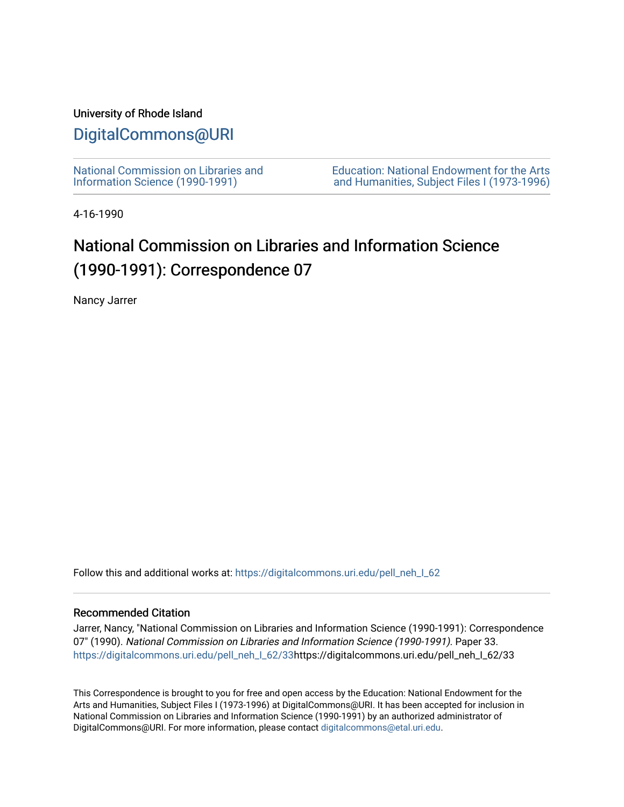### University of Rhode Island

## [DigitalCommons@URI](https://digitalcommons.uri.edu/)

[National Commission on Libraries and](https://digitalcommons.uri.edu/pell_neh_I_62) [Information Science \(1990-1991\)](https://digitalcommons.uri.edu/pell_neh_I_62) 

[Education: National Endowment for the Arts](https://digitalcommons.uri.edu/pell_neh_I)  [and Humanities, Subject Files I \(1973-1996\)](https://digitalcommons.uri.edu/pell_neh_I) 

4-16-1990

# National Commission on Libraries and Information Science (1990-1991): Correspondence 07

Nancy Jarrer

Follow this and additional works at: https://digitalcommons.uri.edu/pell\_neh\_I\_62

### Recommended Citation

Jarrer, Nancy, "National Commission on Libraries and Information Science (1990-1991): Correspondence 07" (1990). National Commission on Libraries and Information Science (1990-1991). Paper 33. [https://digitalcommons.uri.edu/pell\\_neh\\_I\\_62/33h](https://digitalcommons.uri.edu/pell_neh_I_62/33?utm_source=digitalcommons.uri.edu%2Fpell_neh_I_62%2F33&utm_medium=PDF&utm_campaign=PDFCoverPages)ttps://digitalcommons.uri.edu/pell\_neh\_I\_62/33

This Correspondence is brought to you for free and open access by the Education: National Endowment for the Arts and Humanities, Subject Files I (1973-1996) at DigitalCommons@URI. It has been accepted for inclusion in National Commission on Libraries and Information Science (1990-1991) by an authorized administrator of DigitalCommons@URI. For more information, please contact [digitalcommons@etal.uri.edu.](mailto:digitalcommons@etal.uri.edu)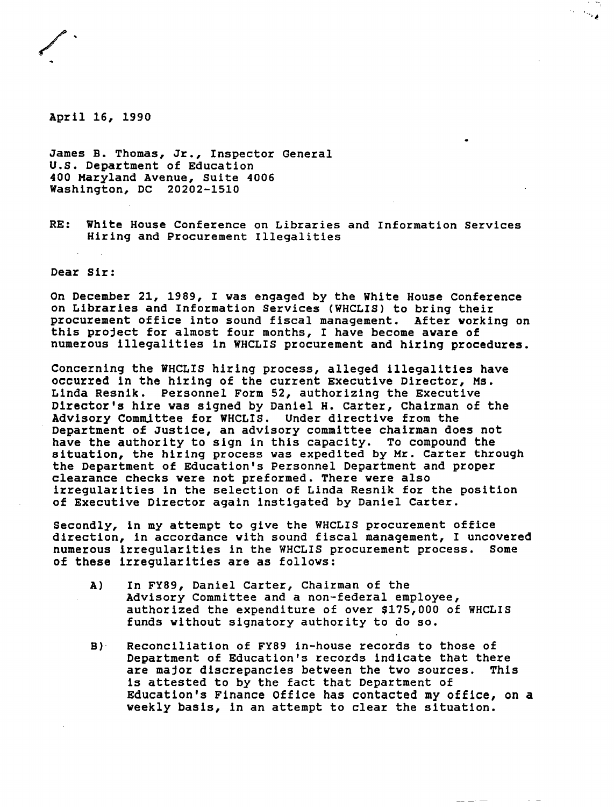

April 16, 1990

James B. Thomas, Jr., Inspector General U.S. Department of Education 400 Maryland Avenue, Suite 4006 Washington, DC 20202-1510

RE: White House Conference on Libraries and Information Services Hiring and Procurement Illegalities

 $\sim$   $\epsilon$ 

Dear Sir:

On December 21, 1989, I was engaged by the White House Conference on Libraries and Information Services (WHCLIS) to bring their procurement office into sound fiscal management. After working on this project for almost four months, I have become aware of numerous illegalities in WHCLIS procurement and hiring procedures.

Concerning the WHCLIS hiring process, alleged illegalities have occurred in the hiring of the current Executive Director, Ms. Linda Resnik. Personnel Form 52, authorizing the Executive Director's hire was signed by Daniel H. carter, Chairman of the Advisory Committee for WHCLIS. Under directive from the Department of Justice, an advisory committee chairman does not have the authority to sign in this capacity. To compound the situation, the hiring process was expedited by Mr. Carter through the Department of Education's Personnel Department and proper clearance checks were not preformed. There were also irregularities in the selection of Linda Resnik for the position of Executive Director again instigated by Daniel Carter.

Secondly, in my attempt to give the WHCLIS procurement office direction, in accordance with sound fiscal management, I uncovered<br>numerous irregularities in the WHCLIS procurement process. Some numerous irregularities in the WHCLIS procurement process. of these irregularities are as follows:

- A) In FY89, Daniel Carter, Chairman of the Advisory Committee and a non-federal employee, authorized the expenditure of over \$175,000 of WHCLIS funds without signatory authority to do so.
- B)· Reconciliation of FY89 in-house records to those of Department of Education's records indicate that there<br>are major discrepancies between the two sources. This are major discrepancies between the two sources. is attested to by the fact that Department of Education's Finance Office has contacted my office, on a weekly basis, in an attempt to clear the situation.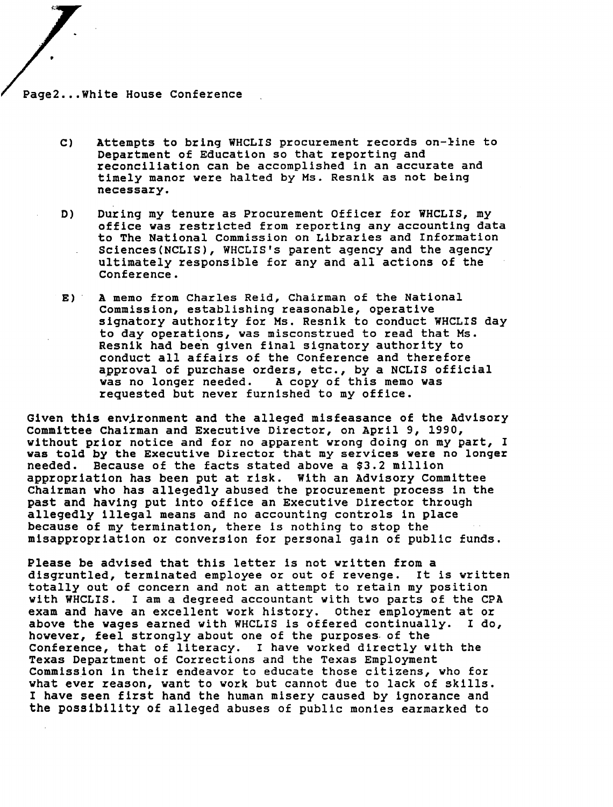Page2 ... White House Conference

•

- C) Attempts to bring WHCLIS procurement records on-line to Department of Education so that reporting and reconciliation can be accomplished in an accurate and timely manor were halted by Ms. Resnik as not being necessary.
- D) During my tenure as Procurement Officer for WHCLIS, my office was restricted from reporting any accounting data to The National commission on Libraries and Information Sciences(NCLIS), WHCLIS's parent agency and the agency ultimately responsible for any and all actions of the Conference.
- E) A memo from Charles Reid, Chairman of the National Commission, establishing reasonable, operative signatory authority for Ms. Resnik to conduct WHCLIS day to day operations, was misconstrued to read that Ms. Resnik had been given final signatory authority to conduct all affairs of the Conference and therefore approval of purchase orders, etc., by a NCLIS official<br>was no longer needed. A copy of this memo was A copy of this memo was requested but never furnished to my office.

Given this envjronment and the alleged misfeasance of the Advisory Committee Chairman and Executive Director, on April 9, 1990, without prior notice and for no apparent wrong doing on my part, I was told by the Executive Director that my services were no longer needed. Because of the facts stated above a \$3.2 million appropriation has been put at risk. With an Advisory Committee Chairman who has allegedly abused the procurement process in the past and having put into office an Executive Director through allegedly illegal means and no accounting controls in place because of my termination, there is nothing to stop the misappropriation or conversion for personal gain of public funds.

Please be advised that this letter is not written from a disgruntled, terminated employee or out of revenge. It is written totally out of concern and not an attempt to retain my position with WHCLIS. I am a degreed accountant with two parts of the CPA exam and have an excellent work history. other employment at or above the wages earned with WHCLIS ls offered continually. I do, however, feel strongly about one of the purposes. of the Conference, that of literacy. I have worked directly with the Texas Department of Corrections and the Texas Employment Commission in their endeavor to educate those citizens, who for what ever reason, want to work but cannot due to lack of skills. I have seen first hand the human misery caused by ignorance and the possibility of alleged abuses of public monies earmarked to